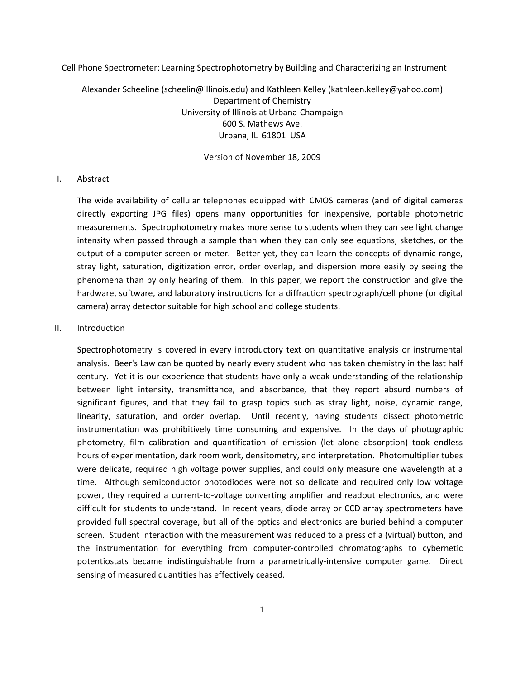Cell Phone Spectrometer: Learning Spectrophotometry by Building and Characterizing an Instrument

Alexander Scheeline (scheelin@illinois.edu) and Kathleen Kelley (kathleen.kelley@yahoo.com) Department of Chemistry University of Illinois at Urbana‐Champaign 600 S. Mathews Ave. Urbana, IL 61801 USA

Version of November 18, 2009

#### I. Abstract

The wide availability of cellular telephones equipped with CMOS cameras (and of digital cameras directly exporting JPG files) opens many opportunities for inexpensive, portable photometric measurements. Spectrophotometry makes more sense to students when they can see light change intensity when passed through a sample than when they can only see equations, sketches, or the output of a computer screen or meter. Better yet, they can learn the concepts of dynamic range, stray light, saturation, digitization error, order overlap, and dispersion more easily by seeing the phenomena than by only hearing of them. In this paper, we report the construction and give the hardware, software, and laboratory instructions for a diffraction spectrograph/cell phone (or digital camera) array detector suitable for high school and college students.

### II. Introduction

Spectrophotometry is covered in every introductory text on quantitative analysis or instrumental analysis. Beer's Law can be quoted by nearly every student who has taken chemistry in the last half century. Yet it is our experience that students have only a weak understanding of the relationship between light intensity, transmittance, and absorbance, that they report absurd numbers of significant figures, and that they fail to grasp topics such as stray light, noise, dynamic range, linearity, saturation, and order overlap. Until recently, having students dissect photometric instrumentation was prohibitively time consuming and expensive. In the days of photographic photometry, film calibration and quantification of emission (let alone absorption) took endless hours of experimentation, dark room work, densitometry, and interpretation. Photomultiplier tubes were delicate, required high voltage power supplies, and could only measure one wavelength at a time. Although semiconductor photodiodes were not so delicate and required only low voltage power, they required a current‐to‐voltage converting amplifier and readout electronics, and were difficult for students to understand. In recent years, diode array or CCD array spectrometers have provided full spectral coverage, but all of the optics and electronics are buried behind a computer screen. Student interaction with the measurement was reduced to a press of a (virtual) button, and the instrumentation for everything from computer‐controlled chromatographs to cybernetic potentiostats became indistinguishable from a parametrically-intensive computer game. Direct sensing of measured quantities has effectively ceased.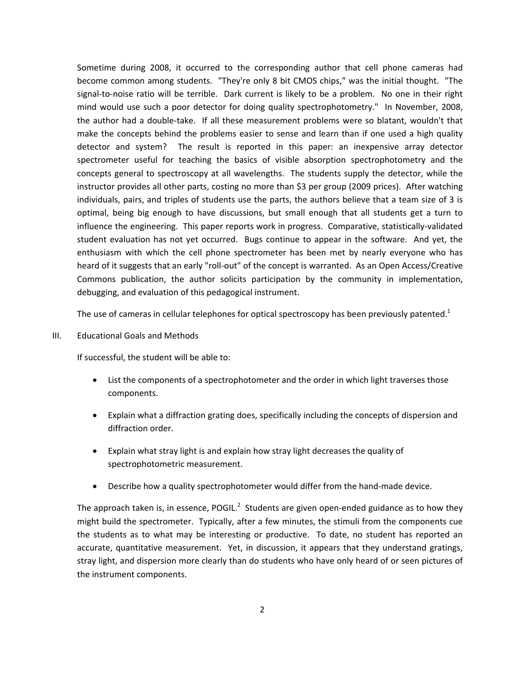Sometime during 2008, it occurred to the corresponding author that cell phone cameras had become common among students. "They're only 8 bit CMOS chips," was the initial thought. "The signal-to-noise ratio will be terrible. Dark current is likely to be a problem. No one in their right mind would use such a poor detector for doing quality spectrophotometry." In November, 2008, the author had a double‐take. If all these measurement problems were so blatant, wouldn't that make the concepts behind the problems easier to sense and learn than if one used a high quality detector and system? The result is reported in this paper: an inexpensive array detector spectrometer useful for teaching the basics of visible absorption spectrophotometry and the concepts general to spectroscopy at all wavelengths. The students supply the detector, while the instructor provides all other parts, costing no more than \$3 per group (2009 prices). After watching individuals, pairs, and triples of students use the parts, the authors believe that a team size of 3 is optimal, being big enough to have discussions, but small enough that all students get a turn to influence the engineering. This paper reports work in progress. Comparative, statistically‐validated student evaluation has not yet occurred. Bugs continue to appear in the software. And yet, the enthusiasm with which the cell phone spectrometer has been met by nearly everyone who has heard of it suggests that an early "roll‐out" of the concept is warranted. As an Open Access/Creative Commons publication, the author solicits participation by the community in implementation, debugging, and evaluation of this pedagogical instrument.

The use of cameras in cellular telephones for optical spectroscopy has been previously patented.<sup>1</sup>

III. Educational Goals and Methods

If successful, the student will be able to:

- List the components of a spectrophotometer and the order in which light traverses those components.
- Explain what a diffraction grating does, specifically including the concepts of dispersion and diffraction order.
- Explain what stray light is and explain how stray light decreases the quality of spectrophotometric measurement.
- Describe how a quality spectrophotometer would differ from the hand-made device.

The approach taken is, in essence, POGIL.<sup>2</sup> Students are given open-ended guidance as to how they might build the spectrometer. Typically, after a few minutes, the stimuli from the components cue the students as to what may be interesting or productive. To date, no student has reported an accurate, quantitative measurement. Yet, in discussion, it appears that they understand gratings, stray light, and dispersion more clearly than do students who have only heard of or seen pictures of the instrument components.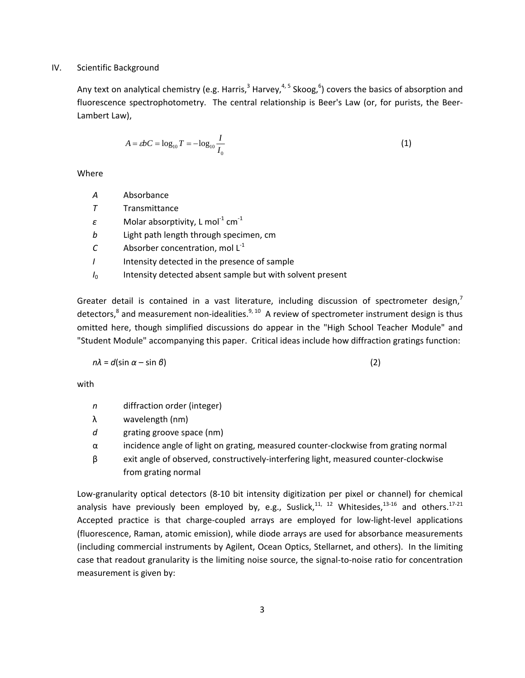## IV. Scientific Background

Any text on analytical chemistry (e.g. Harris,<sup>3</sup> Harvey,<sup>4, 5</sup> Skoog,<sup>6</sup>) covers the basics of absorption and fluorescence spectrophotometry. The central relationship is Beer's Law (or, for purists, the Beer-Lambert Law),

$$
A = \varepsilon b C = \log_{10} T = -\log_{10} \frac{I}{I_0}
$$
 (1)

Where

- *A* Absorbance
- *T* Transmittance
- $\varepsilon$  Molar absorptivity, L mol<sup>-1</sup> cm<sup>-1</sup>
- *b* Light path length through specimen, cm
- $C \longrightarrow$  Absorber concentration, mol  $L^{-1}$
- *I* Intensity detected in the presence of sample
- *I*<sub>0</sub> Intensity detected absent sample but with solvent present

Greater detail is contained in a vast literature, including discussion of spectrometer design,<sup>7</sup> detectors,<sup>8</sup> and measurement non-idealities.<sup>9, 10</sup> A review of spectrometer instrument design is thus omitted here, though simplified discussions do appear in the "High School Teacher Module" and "Student Module" accompanying this paper. Critical ideas include how diffraction gratings function:

$$
n\lambda = d(\sin \alpha - \sin \beta) \tag{2}
$$

with

- *n* diffraction order (integer)
- λ wavelength (nm)
- *d* grating groove space (nm)
- $\alpha$  incidence angle of light on grating, measured counter-clockwise from grating normal
- $β$  exit angle of observed, constructively-interfering light, measured counter-clockwise from grating normal

Low-granularity optical detectors (8-10 bit intensity digitization per pixel or channel) for chemical analysis have previously been employed by, e.g., Suslick, $^{11, 12}$  Whitesides, $^{13\text{-}16}$  and others. $^{17\text{-}21}$ Accepted practice is that charge‐coupled arrays are employed for low‐light‐level applications (fluorescence, Raman, atomic emission), while diode arrays are used for absorbance measurements (including commercial instruments by Agilent, Ocean Optics, Stellarnet, and others). In the limiting case that readout granularity is the limiting noise source, the signal-to-noise ratio for concentration measurement is given by: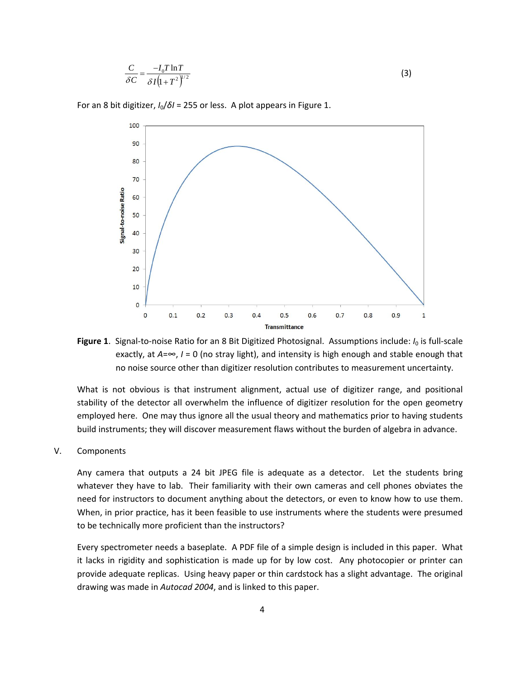$$
\frac{C}{\delta C} = \frac{-I_0 T \ln T}{\delta I \left(1 + T^2\right)^{1/2}}\tag{3}
$$

 $100$ 90 80  $70$ Signal-to-noise Ratio 60 50 40 30  $20$  $10$  $\mathbf 0$  $\overline{0}$  $0.1$  $0.2$  $0.3$  $0.4$  $0.5$  $0.6$  $0.7$  $0.8$  $0.9$  $\mathbf{1}$ **Transmittance** 

For an 8 bit digitizer, *I*0/*δI* = 255 or less. A plot appears in Figure 1.

**Figure 1**. Signal-to-noise Ratio for an 8 Bit Digitized Photosignal. Assumptions include: *I*<sub>0</sub> is full-scale exactly, at  $A=\infty$ ,  $I=0$  (no stray light), and intensity is high enough and stable enough that no noise source other than digitizer resolution contributes to measurement uncertainty.

What is not obvious is that instrument alignment, actual use of digitizer range, and positional stability of the detector all overwhelm the influence of digitizer resolution for the open geometry employed here. One may thus ignore all the usual theory and mathematics prior to having students build instruments; they will discover measurement flaws without the burden of algebra in advance.

### V. Components

Any camera that outputs a 24 bit JPEG file is adequate as a detector. Let the students bring whatever they have to lab. Their familiarity with their own cameras and cell phones obviates the need for instructors to document anything about the detectors, or even to know how to use them. When, in prior practice, has it been feasible to use instruments where the students were presumed to be technically more proficient than the instructors?

Every spectrometer needs a baseplate. A PDF file of a simple design is included in this paper. What it lacks in rigidity and sophistication is made up for by low cost. Any photocopier or printer can provide adequate replicas. Using heavy paper or thin cardstock has a slight advantage. The original drawing was made in *Autocad 2004*, and is linked to this paper.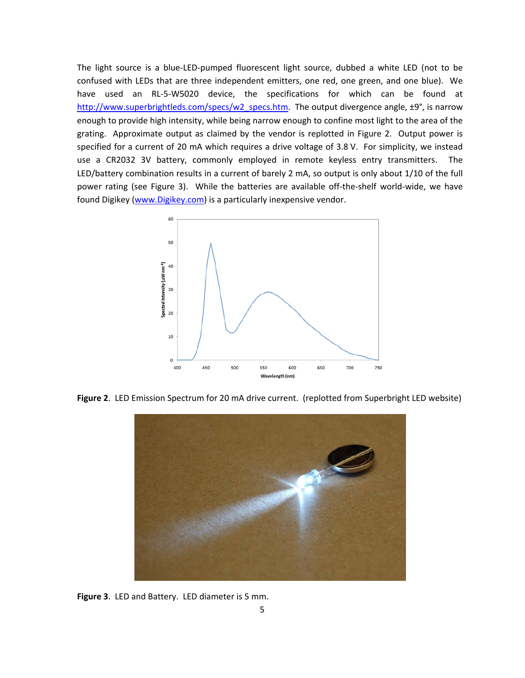The light source is a blue‐LED‐pumped fluorescent light source, dubbed a white LED (not to be confused with LEDs that are three independent emitters, one red, one green, and one blue). We have used an RL-5-W5020 device, the specifications for which can be found at http://www.superbrightleds.com/specs/w2\_specs.htm. The output divergence angle, ±9°, is narrow enough to provide high intensity, while being narrow enough to confine most light to the area of the grating. Approximate output as claimed by the vendor is replotted in Figure 2. Output power is specified for a current of 20 mA which requires a drive voltage of 3.8 V. For simplicity, we instead use a CR2032 3V battery, commonly employed in remote keyless entry transmitters. The LED/battery combination results in a current of barely 2 mA, so output is only about 1/10 of the full power rating (see Figure 3). While the batteries are available off-the-shelf world-wide, we have found Digikey (www.Digikey.com) is a particularly inexpensive vendor.



**Figure 2**. LED Emission Spectrum for 20 mA drive current. (replotted from Superbright LED website)



**Figure 3**. LED and Battery. LED diameter is 5 mm.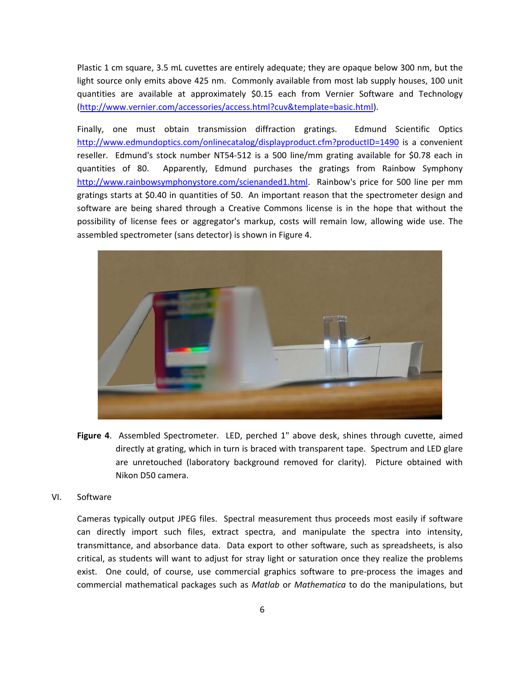Plastic 1 cm square, 3.5 mL cuvettes are entirely adequate; they are opaque below 300 nm, but the light source only emits above 425 nm. Commonly available from most lab supply houses, 100 unit quantities are available at approximately \$0.15 each from Vernier Software and Technology (http://www.vernier.com/accessories/access.html?cuv&template=basic.html).

Finally, one must obtain transmission diffraction gratings. Edmund Scientific Optics http://www.edmundoptics.com/onlinecatalog/displayproduct.cfm?productID=1490 is a convenient reseller. Edmund's stock number NT54-512 is a 500 line/mm grating available for \$0.78 each in quantities of 80. Apparently, Edmund purchases the gratings from Rainbow Symphony http://www.rainbowsymphonystore.com/scienanded1.html. Rainbow's price for 500 line per mm gratings starts at \$0.40 in quantities of 50. An important reason that the spectrometer design and software are being shared through a Creative Commons license is in the hope that without the possibility of license fees or aggregator's markup, costs will remain low, allowing wide use. The assembled spectrometer (sans detector) is shown in Figure 4.



- **Figure 4**. Assembled Spectrometer. LED, perched 1" above desk, shines through cuvette, aimed directly at grating, which in turn is braced with transparent tape. Spectrum and LED glare are unretouched (laboratory background removed for clarity). Picture obtained with Nikon D50 camera.
- VI. Software

Cameras typically output JPEG files. Spectral measurement thus proceeds most easily if software can directly import such files, extract spectra, and manipulate the spectra into intensity, transmittance, and absorbance data. Data export to other software, such as spreadsheets, is also critical, as students will want to adjust for stray light or saturation once they realize the problems exist. One could, of course, use commercial graphics software to pre-process the images and commercial mathematical packages such as *Matlab* or *Mathematica* to do the manipulations, but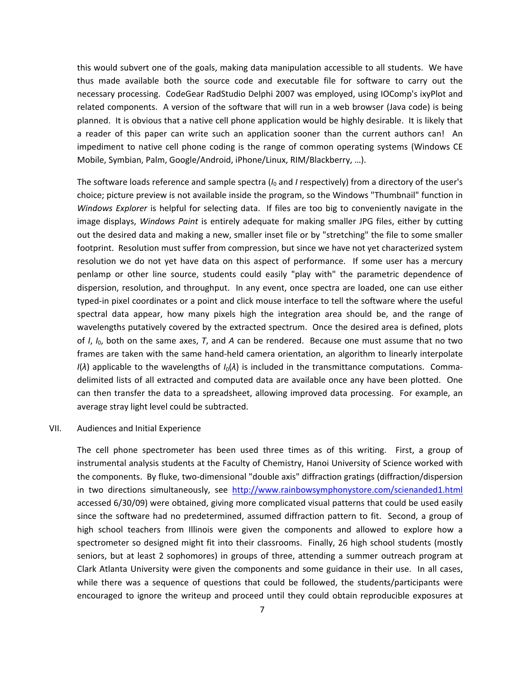this would subvert one of the goals, making data manipulation accessible to all students. We have thus made available both the source code and executable file for software to carry out the necessary processing. CodeGear RadStudio Delphi 2007 was employed, using IOComp's ixyPlot and related components. A version of the software that will run in a web browser (Java code) is being planned. It is obvious that a native cell phone application would be highly desirable. It is likely that a reader of this paper can write such an application sooner than the current authors can! An impediment to native cell phone coding is the range of common operating systems (Windows CE Mobile, Symbian, Palm, Google/Android, iPhone/Linux, RIM/Blackberry, …).

The software loads reference and sample spectra (*I*<sup>0</sup> and *I* respectively) from a directory of the user's choice; picture preview is not available inside the program, so the Windows "Thumbnail" function in *Windows Explorer* is helpful for selecting data. If files are too big to conveniently navigate in the image displays, *Windows Paint* is entirely adequate for making smaller JPG files, either by cutting out the desired data and making a new, smaller inset file or by "stretching" the file to some smaller footprint. Resolution must suffer from compression, but since we have not yet characterized system resolution we do not yet have data on this aspect of performance. If some user has a mercury penlamp or other line source, students could easily "play with" the parametric dependence of dispersion, resolution, and throughput. In any event, once spectra are loaded, one can use either typed‐in pixel coordinates or a point and click mouse interface to tell the software where the useful spectral data appear, how many pixels high the integration area should be, and the range of wavelengths putatively covered by the extracted spectrum. Once the desired area is defined, plots of *I*, *I*0, both on the same axes, *T*, and *A* can be rendered. Because one must assume that no two frames are taken with the same hand‐held camera orientation, an algorithm to linearly interpolate  $I(\lambda)$  applicable to the wavelengths of  $I_0(\lambda)$  is included in the transmittance computations. Commadelimited lists of all extracted and computed data are available once any have been plotted. One can then transfer the data to a spreadsheet, allowing improved data processing. For example, an average stray light level could be subtracted.

## VII. Audiences and Initial Experience

The cell phone spectrometer has been used three times as of this writing. First, a group of instrumental analysis students at the Faculty of Chemistry, Hanoi University of Science worked with the components. By fluke, two‐dimensional "double axis" diffraction gratings (diffraction/dispersion in two directions simultaneously, see http://www.rainbowsymphonystore.com/scienanded1.html accessed 6/30/09) were obtained, giving more complicated visual patterns that could be used easily since the software had no predetermined, assumed diffraction pattern to fit. Second, a group of high school teachers from Illinois were given the components and allowed to explore how a spectrometer so designed might fit into their classrooms. Finally, 26 high school students (mostly seniors, but at least 2 sophomores) in groups of three, attending a summer outreach program at Clark Atlanta University were given the components and some guidance in their use. In all cases, while there was a sequence of questions that could be followed, the students/participants were encouraged to ignore the writeup and proceed until they could obtain reproducible exposures at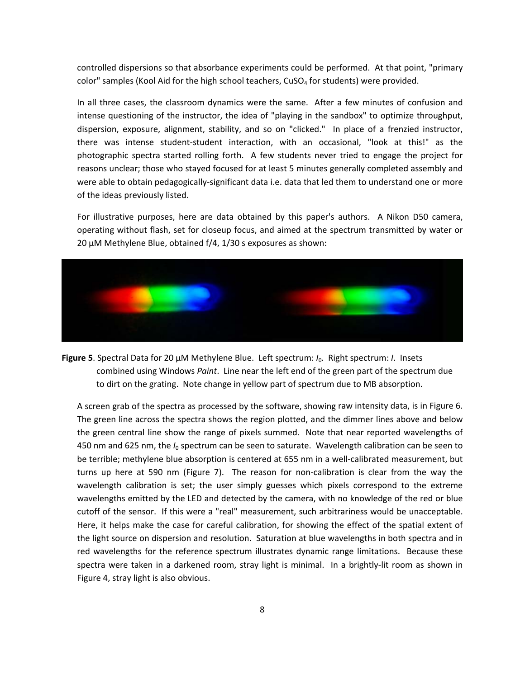controlled dispersions so that absorbance experiments could be performed. At that point, "primary color" samples (Kool Aid for the high school teachers,  $CuSO<sub>4</sub>$  for students) were provided.

In all three cases, the classroom dynamics were the same. After a few minutes of confusion and intense questioning of the instructor, the idea of "playing in the sandbox" to optimize throughput, dispersion, exposure, alignment, stability, and so on "clicked." In place of a frenzied instructor, there was intense student‐student interaction, with an occasional, "look at this!" as the photographic spectra started rolling forth. A few students never tried to engage the project for reasons unclear; those who stayed focused for at least 5 minutes generally completed assembly and were able to obtain pedagogically‐significant data i.e. data that led them to understand one or more of the ideas previously listed.

For illustrative purposes, here are data obtained by this paper's authors. A Nikon D50 camera, operating without flash, set for closeup focus, and aimed at the spectrum transmitted by water or 20 μM Methylene Blue, obtained f/4, 1/30 s exposures as shown:



**Figure 5**. Spectral Data for 20 μM Methylene Blue. Left spectrum: *I*0. Right spectrum: *I*. Insets combined using Windows *Paint*. Line near the left end of the green part of the spectrum due to dirt on the grating. Note change in yellow part of spectrum due to MB absorption.

A screen grab of the spectra as processed by the software, showing raw intensity data, is in Figure 6. The green line across the spectra shows the region plotted, and the dimmer lines above and below the green central line show the range of pixels summed. Note that near reported wavelengths of 450 nm and 625 nm, the *I*<sup>0</sup> spectrum can be seen to saturate. Wavelength calibration can be seen to be terrible; methylene blue absorption is centered at 655 nm in a well-calibrated measurement, but turns up here at 590 nm (Figure 7). The reason for non-calibration is clear from the way the wavelength calibration is set; the user simply guesses which pixels correspond to the extreme wavelengths emitted by the LED and detected by the camera, with no knowledge of the red or blue cutoff of the sensor. If this were a "real" measurement, such arbitrariness would be unacceptable. Here, it helps make the case for careful calibration, for showing the effect of the spatial extent of the light source on dispersion and resolution. Saturation at blue wavelengths in both spectra and in red wavelengths for the reference spectrum illustrates dynamic range limitations. Because these spectra were taken in a darkened room, stray light is minimal. In a brightly-lit room as shown in Figure 4, stray light is also obvious.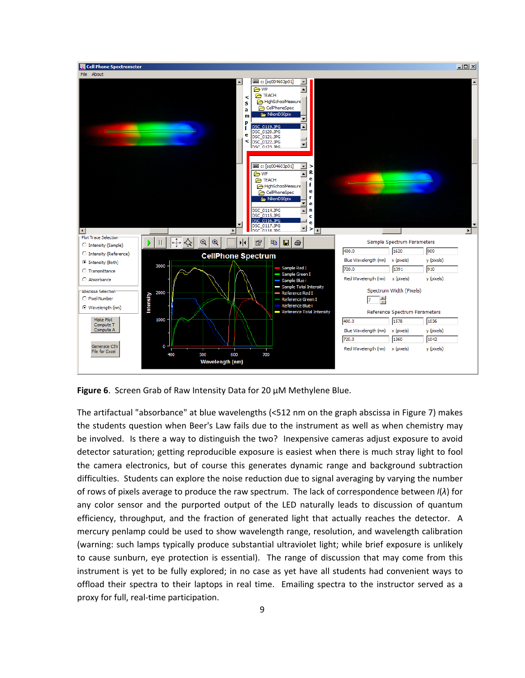

**Figure 6**. Screen Grab of Raw Intensity Data for 20 μM Methylene Blue.

The artifactual "absorbance" at blue wavelengths (<512 nm on the graph abscissa in Figure 7) makes the students question when Beer's Law fails due to the instrument as well as when chemistry may be involved. Is there a way to distinguish the two? Inexpensive cameras adjust exposure to avoid detector saturation; getting reproducible exposure is easiest when there is much stray light to fool the camera electronics, but of course this generates dynamic range and background subtraction difficulties. Students can explore the noise reduction due to signal averaging by varying the number of rows of pixels average to produce the raw spectrum. The lack of correspondence between *I*(*λ*) for any color sensor and the purported output of the LED naturally leads to discussion of quantum efficiency, throughput, and the fraction of generated light that actually reaches the detector. A mercury penlamp could be used to show wavelength range, resolution, and wavelength calibration (warning: such lamps typically produce substantial ultraviolet light; while brief exposure is unlikely to cause sunburn, eye protection is essential). The range of discussion that may come from this instrument is yet to be fully explored; in no case as yet have all students had convenient ways to offload their spectra to their laptops in real time. Emailing spectra to the instructor served as a proxy for full, real-time participation.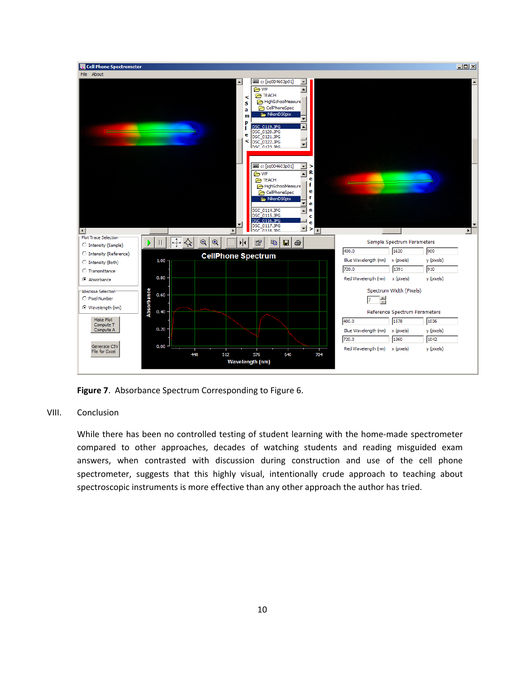

**Figure 7**. Absorbance Spectrum Corresponding to Figure 6.

# VIII. Conclusion

While there has been no controlled testing of student learning with the home-made spectrometer compared to other approaches, decades of watching students and reading misguided exam answers, when contrasted with discussion during construction and use of the cell phone spectrometer, suggests that this highly visual, intentionally crude approach to teaching about spectroscopic instruments is more effective than any other approach the author has tried.